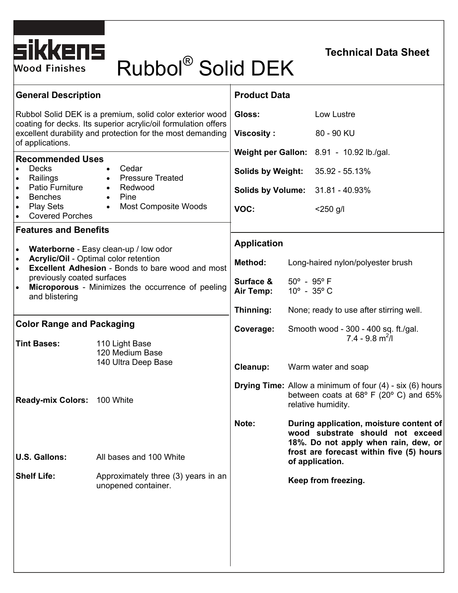

# SIKKENS<br>Wood Finishes Rubbol® Solid DEK

## **Technical Data Sheet**

| <b>General Description</b>                                                                                                                                                                                                                                                                                |                                                                                                                      | <b>Product Data</b>                                                                |                                                                                                                                             |                                                                                                                     |
|-----------------------------------------------------------------------------------------------------------------------------------------------------------------------------------------------------------------------------------------------------------------------------------------------------------|----------------------------------------------------------------------------------------------------------------------|------------------------------------------------------------------------------------|---------------------------------------------------------------------------------------------------------------------------------------------|---------------------------------------------------------------------------------------------------------------------|
| Rubbol Solid DEK is a premium, solid color exterior wood<br>coating for decks. Its superior acrylic/oil formulation offers<br>excellent durability and protection for the most demanding<br>of applications.                                                                                              |                                                                                                                      | Gloss:                                                                             |                                                                                                                                             | Low Lustre                                                                                                          |
|                                                                                                                                                                                                                                                                                                           |                                                                                                                      | <b>Viscosity:</b>                                                                  |                                                                                                                                             | 80 - 90 KU                                                                                                          |
| <b>Recommended Uses</b>                                                                                                                                                                                                                                                                                   |                                                                                                                      | Weight per Gallon: 8.91 - 10.92 lb./gal.                                           |                                                                                                                                             |                                                                                                                     |
| <b>Decks</b><br>Railings<br>$\bullet$                                                                                                                                                                                                                                                                     | Cedar<br>$\bullet$<br><b>Pressure Treated</b><br>$\bullet$<br>• Redwood<br>Pine<br>$\bullet$<br>Most Composite Woods | <b>Solids by Weight:</b>                                                           |                                                                                                                                             | 35.92 - 55.13%                                                                                                      |
| Patio Furniture<br><b>Benches</b><br>$\bullet$                                                                                                                                                                                                                                                            |                                                                                                                      | <b>Solids by Volume: 31.81 - 40.93%</b><br>VOC:                                    |                                                                                                                                             |                                                                                                                     |
| <b>Play Sets</b><br>$\bullet$<br><b>Covered Porches</b>                                                                                                                                                                                                                                                   | $\bullet$                                                                                                            |                                                                                    |                                                                                                                                             | $<$ 250 g/l                                                                                                         |
| <b>Features and Benefits</b>                                                                                                                                                                                                                                                                              |                                                                                                                      | <b>Application</b>                                                                 |                                                                                                                                             |                                                                                                                     |
| Waterborne - Easy clean-up / low odor<br>$\bullet$<br><b>Acrylic/Oil - Optimal color retention</b><br>$\bullet$<br><b>Excellent Adhesion</b> - Bonds to bare wood and most<br>$\bullet$<br>previously coated surfaces<br>Microporous - Minimizes the occurrence of peeling<br>$\bullet$<br>and blistering |                                                                                                                      | Method:                                                                            |                                                                                                                                             | Long-haired nylon/polyester brush                                                                                   |
|                                                                                                                                                                                                                                                                                                           |                                                                                                                      | Surface &                                                                          | $50^{\circ}$ - $95^{\circ}$ F                                                                                                               |                                                                                                                     |
|                                                                                                                                                                                                                                                                                                           |                                                                                                                      | $10^{\circ}$ - 35 $^{\circ}$ C<br>Air Temp:                                        |                                                                                                                                             |                                                                                                                     |
|                                                                                                                                                                                                                                                                                                           |                                                                                                                      | Thinning:                                                                          | None; ready to use after stirring well.                                                                                                     |                                                                                                                     |
| <b>Color Range and Packaging</b><br><b>Tint Bases:</b><br>110 Light Base                                                                                                                                                                                                                                  |                                                                                                                      | Coverage:<br>Smooth wood - 300 - 400 sq. ft./gal.<br>$7.4 - 9.8$ m <sup>2</sup> /l |                                                                                                                                             |                                                                                                                     |
|                                                                                                                                                                                                                                                                                                           | 120 Medium Base<br>140 Ultra Deep Base                                                                               | Cleanup:                                                                           |                                                                                                                                             | Warm water and soap                                                                                                 |
|                                                                                                                                                                                                                                                                                                           |                                                                                                                      |                                                                                    |                                                                                                                                             |                                                                                                                     |
| <b>Ready-mix Colors: 100 White</b>                                                                                                                                                                                                                                                                        |                                                                                                                      |                                                                                    | <b>Drying Time:</b> Allow a minimum of four (4) - six (6) hours<br>between coats at $68^{\circ}$ F (20° C) and $65\%$<br>relative humidity. |                                                                                                                     |
|                                                                                                                                                                                                                                                                                                           |                                                                                                                      | Note:                                                                              |                                                                                                                                             | During application, moisture content of<br>wood substrate should not exceed<br>18%. Do not apply when rain, dew, or |
| <b>U.S. Gallons:</b>                                                                                                                                                                                                                                                                                      | All bases and 100 White                                                                                              |                                                                                    | frost are forecast within five (5) hours<br>of application.                                                                                 |                                                                                                                     |
| <b>Shelf Life:</b>                                                                                                                                                                                                                                                                                        | Approximately three (3) years in an<br>unopened container.                                                           |                                                                                    | Keep from freezing.                                                                                                                         |                                                                                                                     |
|                                                                                                                                                                                                                                                                                                           |                                                                                                                      |                                                                                    |                                                                                                                                             |                                                                                                                     |
|                                                                                                                                                                                                                                                                                                           |                                                                                                                      |                                                                                    |                                                                                                                                             |                                                                                                                     |
|                                                                                                                                                                                                                                                                                                           |                                                                                                                      |                                                                                    |                                                                                                                                             |                                                                                                                     |
|                                                                                                                                                                                                                                                                                                           |                                                                                                                      |                                                                                    |                                                                                                                                             |                                                                                                                     |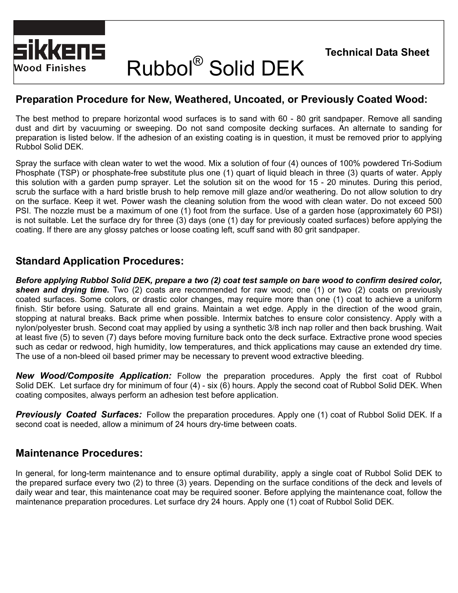

# Rubbol® Solid DEK

### **Preparation Procedure for New, Weathered, Uncoated, or Previously Coated Wood:**

The best method to prepare horizontal wood surfaces is to sand with 60 - 80 grit sandpaper. Remove all sanding dust and dirt by vacuuming or sweeping. Do not sand composite decking surfaces. An alternate to sanding for preparation is listed below. If the adhesion of an existing coating is in question, it must be removed prior to applying Rubbol Solid DEK.

Spray the surface with clean water to wet the wood. Mix a solution of four (4) ounces of 100% powdered Tri-Sodium Phosphate (TSP) or phosphate-free substitute plus one (1) quart of liquid bleach in three (3) quarts of water. Apply this solution with a garden pump sprayer. Let the solution sit on the wood for 15 - 20 minutes. During this period, scrub the surface with a hard bristle brush to help remove mill glaze and/or weathering. Do not allow solution to dry on the surface. Keep it wet. Power wash the cleaning solution from the wood with clean water. Do not exceed 500 PSI. The nozzle must be a maximum of one (1) foot from the surface. Use of a garden hose (approximately 60 PSI) is not suitable. Let the surface dry for three (3) days (one (1) day for previously coated surfaces) before applying the coating. If there are any glossy patches or loose coating left, scuff sand with 80 grit sandpaper.

#### **Standard Application Procedures:**

*Before applying Rubbol Solid DEK, prepare a two (2) coat test sample on bare wood to confirm desired color, sheen and drying time.* Two (2) coats are recommended for raw wood; one (1) or two (2) coats on previously coated surfaces. Some colors, or drastic color changes, may require more than one (1) coat to achieve a uniform finish. Stir before using. Saturate all end grains. Maintain a wet edge. Apply in the direction of the wood grain, stopping at natural breaks. Back prime when possible. Intermix batches to ensure color consistency. Apply with a nylon/polyester brush. Second coat may applied by using a synthetic 3/8 inch nap roller and then back brushing. Wait at least five (5) to seven (7) days before moving furniture back onto the deck surface. Extractive prone wood species such as cedar or redwood, high humidity, low temperatures, and thick applications may cause an extended dry time. The use of a non-bleed oil based primer may be necessary to prevent wood extractive bleeding.

*New Wood/Composite Application:* Follow the preparation procedures. Apply the first coat of Rubbol Solid DEK. Let surface dry for minimum of four (4) - six (6) hours. Apply the second coat of Rubbol Solid DEK. When coating composites, always perform an adhesion test before application.

*Previously Coated Surfaces:* Follow the preparation procedures. Apply one (1) coat of Rubbol Solid DEK. If a second coat is needed, allow a minimum of 24 hours dry-time between coats.

#### **Maintenance Procedures:**

In general, for long-term maintenance and to ensure optimal durability, apply a single coat of Rubbol Solid DEK to the prepared surface every two (2) to three (3) years. Depending on the surface conditions of the deck and levels of daily wear and tear, this maintenance coat may be required sooner. Before applying the maintenance coat, follow the maintenance preparation procedures. Let surface dry 24 hours. Apply one (1) coat of Rubbol Solid DEK.